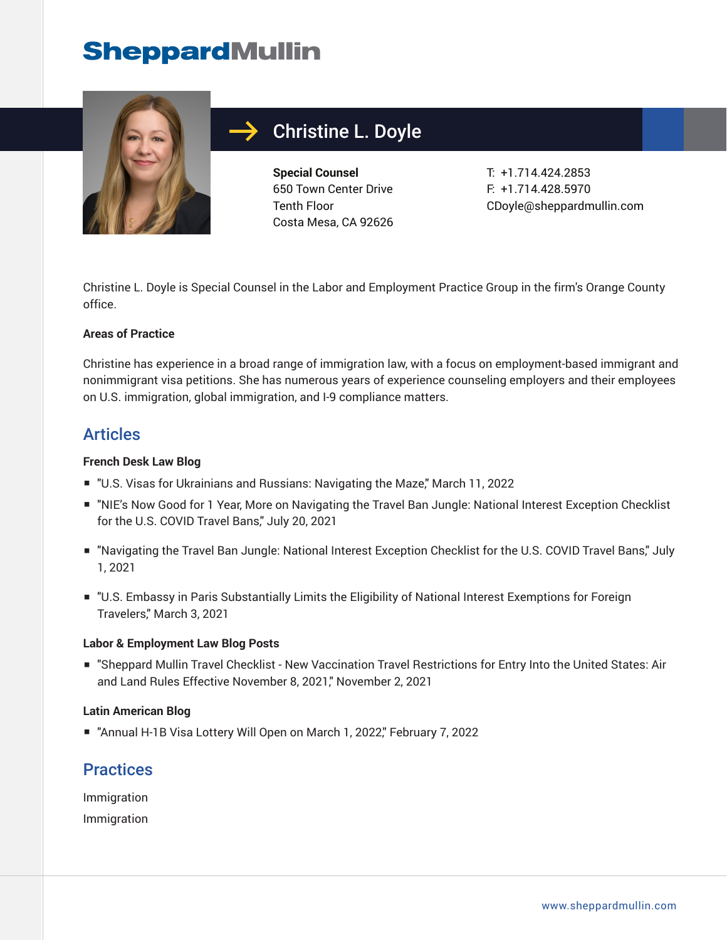## **SheppardMullin**



## Christine L. Doyle

**Special Counsel** 650 Town Center Drive Tenth Floor Costa Mesa, CA 92626 T: +1.714.424.2853 F: +1.714.428.5970 CDoyle@sheppardmullin.com

Christine L. Doyle is Special Counsel in the Labor and Employment Practice Group in the firm's Orange County office.

#### **Areas of Practice**

Christine has experience in a broad range of immigration law, with a focus on employment-based immigrant and nonimmigrant visa petitions. She has numerous years of experience counseling employers and their employees on U.S. immigration, global immigration, and I-9 compliance matters.

### Articles

#### **French Desk Law Blog**

- "U.S. Visas for Ukrainians and Russians: Navigating the Maze," March 11, 2022
- "NIE's Now Good for 1 Year, More on Navigating the Travel Ban Jungle: National Interest Exception Checklist for the U.S. COVID Travel Bans," July 20, 2021
- "Navigating the Travel Ban Jungle: National Interest Exception Checklist for the U.S. COVID Travel Bans," July 1, 2021
- "U.S. Embassy in Paris Substantially Limits the Eligibility of National Interest Exemptions for Foreign Travelers," March 3, 2021

#### **Labor & Employment Law Blog Posts**

■ "Sheppard Mullin Travel Checklist - New Vaccination Travel Restrictions for Entry Into the United States: Air and Land Rules Effective November 8, 2021," November 2, 2021

#### **Latin American Blog**

■ "Annual H-1B Visa Lottery Will Open on March 1, 2022," February 7, 2022

### **Practices**

Immigration Immigration